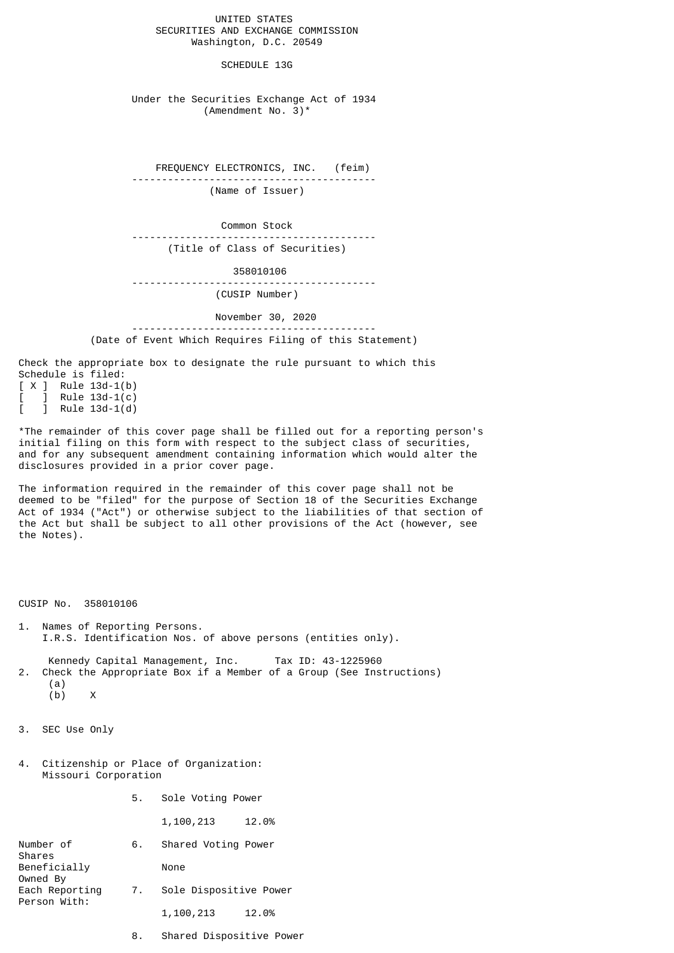UNITED STATES SECURITIES AND EXCHANGE COMMISSION Washington, D.C. 20549

SCHEDULE 13G

 Under the Securities Exchange Act of 1934 (Amendment No. 3)\*

 FREQUENCY ELECTRONICS, INC. (feim) ----------------------------------------- (Name of Issuer)

 Common Stock -----------------------------------------

(Title of Class of Securities)

358010106

 ----------------------------------------- (CUSIP Number)

November 30, 2020

 ----------------------------------------- (Date of Event Which Requires Filing of this Statement)

Check the appropriate box to designate the rule pursuant to which this Schedule is filed:

[ X ] Rule 13d-1(b)  $\overline{1}$  Rule 13d-1(c) [ ] Rule 13d-1(d)

\*The remainder of this cover page shall be filled out for a reporting person's initial filing on this form with respect to the subject class of securities, and for any subsequent amendment containing information which would alter the disclosures provided in a prior cover page.

The information required in the remainder of this cover page shall not be deemed to be "filed" for the purpose of Section 18 of the Securities Exchange Act of 1934 ("Act") or otherwise subject to the liabilities of that section of the Act but shall be subject to all other provisions of the Act (however, see the Notes).

CUSIP No. 358010106

1. Names of Reporting Persons. I.R.S. Identification Nos. of above persons (entities only).

5. Sole Voting Power

- Kennedy Capital Management, Inc. Tax ID: 43-1225960 2. Check the Appropriate Box if a Member of a Group (See Instructions) (a) (b) X
- 3. SEC Use Only
- 4. Citizenship or Place of Organization: Missouri Corporation

 1,100,213 12.0% Number of 6. Shared Voting Power Shares Beneficially None Owned By<br>Each Reporting 7. Sole Dispositive Power Person With: 1,100,213 12.0%

8. Shared Dispositive Power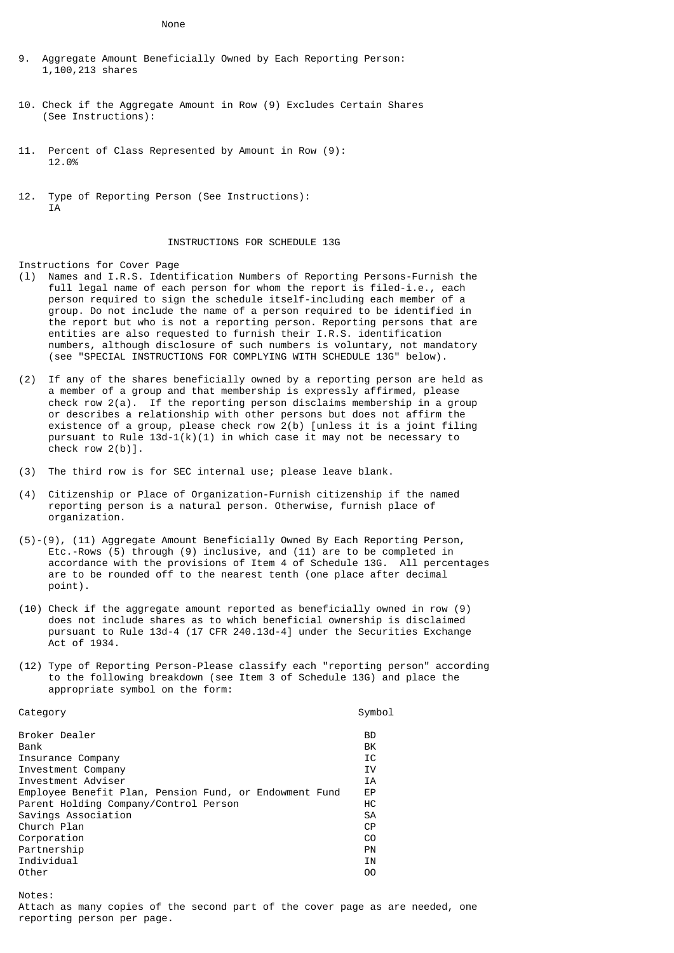#### None

- 9. Aggregate Amount Beneficially Owned by Each Reporting Person: 1,100,213 shares
- 10. Check if the Aggregate Amount in Row (9) Excludes Certain Shares (See Instructions):
- 11. Percent of Class Represented by Amount in Row (9): 12.0%
- 12. Type of Reporting Person (See Instructions): T A

# INSTRUCTIONS FOR SCHEDULE 13G

Instructions for Cover Page

- (l) Names and I.R.S. Identification Numbers of Reporting Persons-Furnish the full legal name of each person for whom the report is filed-i.e., each person required to sign the schedule itself-including each member of a group. Do not include the name of a person required to be identified in the report but who is not a reporting person. Reporting persons that are entities are also requested to furnish their I.R.S. identification numbers, although disclosure of such numbers is voluntary, not mandatory (see "SPECIAL INSTRUCTIONS FOR COMPLYING WITH SCHEDULE 13G" below).
- (2) If any of the shares beneficially owned by a reporting person are held as a member of a group and that membership is expressly affirmed, please check row  $2(a)$ . If the reporting person disclaims membership in a group or describes a relationship with other persons but does not affirm the existence of a group, please check row 2(b) [unless it is a joint filing pursuant to Rule  $13d-1(k)(1)$  in which case it may not be necessary to check row  $2(b)$ ].
- (3) The third row is for SEC internal use; please leave blank.
- (4) Citizenship or Place of Organization-Furnish citizenship if the named reporting person is a natural person. Otherwise, furnish place of organization.
- (5)-(9), (11) Aggregate Amount Beneficially Owned By Each Reporting Person, Etc.-Rows (5) through (9) inclusive, and (11) are to be completed in accordance with the provisions of Item 4 of Schedule 13G. All percentages are to be rounded off to the nearest tenth (one place after decimal point).
- (10) Check if the aggregate amount reported as beneficially owned in row (9) does not include shares as to which beneficial ownership is disclaimed pursuant to Rule 13d-4 (17 CFR 240.13d-4] under the Securities Exchange Act of 1934.
- (12) Type of Reporting Person-Please classify each "reporting person" according to the following breakdown (see Item 3 of Schedule 13G) and place the appropriate symbol on the form:

# Category Symbol Symbol

| Broker Dealer<br>Bank                                  | <b>BD</b><br>BK |
|--------------------------------------------------------|-----------------|
| Insurance Company                                      | ΙC              |
| Investment Company                                     | ΙV              |
| Investment Adviser                                     | ΙA              |
| Employee Benefit Plan, Pension Fund, or Endowment Fund | EP              |
| Parent Holding Company/Control Person                  | HС              |
| Savings Association                                    | SA              |
| Church Plan                                            | СP              |
| Corporation                                            | CO.             |
| Partnership                                            | PN              |
| Individual                                             | ΙN              |
| Other                                                  | 00              |

Notes: Attach as many copies of the second part of the cover page as are needed, one reporting person per page.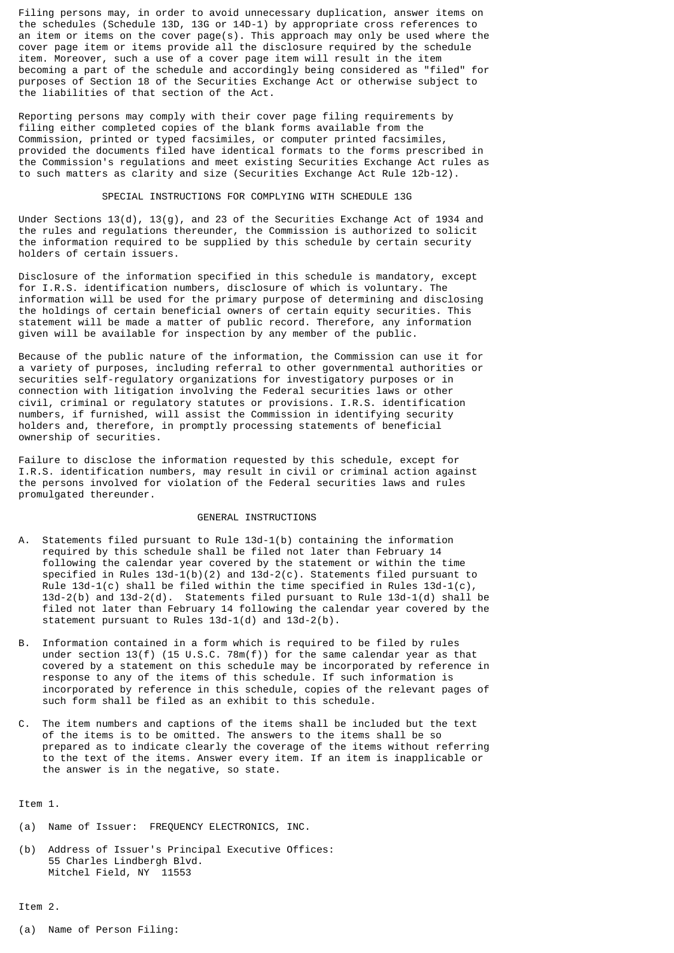Filing persons may, in order to avoid unnecessary duplication, answer items on the schedules (Schedule 13D, 13G or 14D-1) by appropriate cross references to an item or items on the cover page(s). This approach may only be used where the cover page item or items provide all the disclosure required by the schedule item. Moreover, such a use of a cover page item will result in the item becoming a part of the schedule and accordingly being considered as "filed" for purposes of Section 18 of the Securities Exchange Act or otherwise subject to the liabilities of that section of the Act.

Reporting persons may comply with their cover page filing requirements by filing either completed copies of the blank forms available from the Commission, printed or typed facsimiles, or computer printed facsimiles, provided the documents filed have identical formats to the forms prescribed in the Commission's regulations and meet existing Securities Exchange Act rules as to such matters as clarity and size (Securities Exchange Act Rule 12b-12).

### SPECIAL INSTRUCTIONS FOR COMPLYING WITH SCHEDULE 13G

Under Sections 13(d), 13(g), and 23 of the Securities Exchange Act of 1934 and the rules and regulations thereunder, the Commission is authorized to solicit the information required to be supplied by this schedule by certain security holders of certain issuers.

Disclosure of the information specified in this schedule is mandatory, except for I.R.S. identification numbers, disclosure of which is voluntary. The information will be used for the primary purpose of determining and disclosing the holdings of certain beneficial owners of certain equity securities. This statement will be made a matter of public record. Therefore, any information given will be available for inspection by any member of the public.

Because of the public nature of the information, the Commission can use it for a variety of purposes, including referral to other governmental authorities or securities self-regulatory organizations for investigatory purposes or in connection with litigation involving the Federal securities laws or other civil, criminal or regulatory statutes or provisions. I.R.S. identification numbers, if furnished, will assist the Commission in identifying security holders and, therefore, in promptly processing statements of beneficial ownership of securities.

Failure to disclose the information requested by this schedule, except for I.R.S. identification numbers, may result in civil or criminal action against the persons involved for violation of the Federal securities laws and rules promulgated thereunder.

### GENERAL INSTRUCTIONS

- A. Statements filed pursuant to Rule 13d-1(b) containing the information required by this schedule shall be filed not later than February 14 following the calendar year covered by the statement or within the time specified in Rules  $13d-1(b)(2)$  and  $13d-2(c)$ . Statements filed pursuant to Rule  $13d-1(c)$  shall be filed within the time specified in Rules  $13d-1(c)$ , 13d-2(b) and 13d-2(d). Statements filed pursuant to Rule 13d-1(d) shall be filed not later than February 14 following the calendar year covered by the statement pursuant to Rules 13d-1(d) and 13d-2(b).
- B. Information contained in a form which is required to be filed by rules under section  $13(f)$  (15 U.S.C. 78m(f)) for the same calendar year as that covered by a statement on this schedule may be incorporated by reference in response to any of the items of this schedule. If such information is incorporated by reference in this schedule, copies of the relevant pages of such form shall be filed as an exhibit to this schedule.
- C. The item numbers and captions of the items shall be included but the text of the items is to be omitted. The answers to the items shall be so prepared as to indicate clearly the coverage of the items without referring to the text of the items. Answer every item. If an item is inapplicable or the answer is in the negative, so state.

Item 1.

- (a) Name of Issuer: FREQUENCY ELECTRONICS, INC.
- (b) Address of Issuer's Principal Executive Offices: 55 Charles Lindbergh Blvd. Mitchel Field, NY 11553

Item 2.

(a) Name of Person Filing: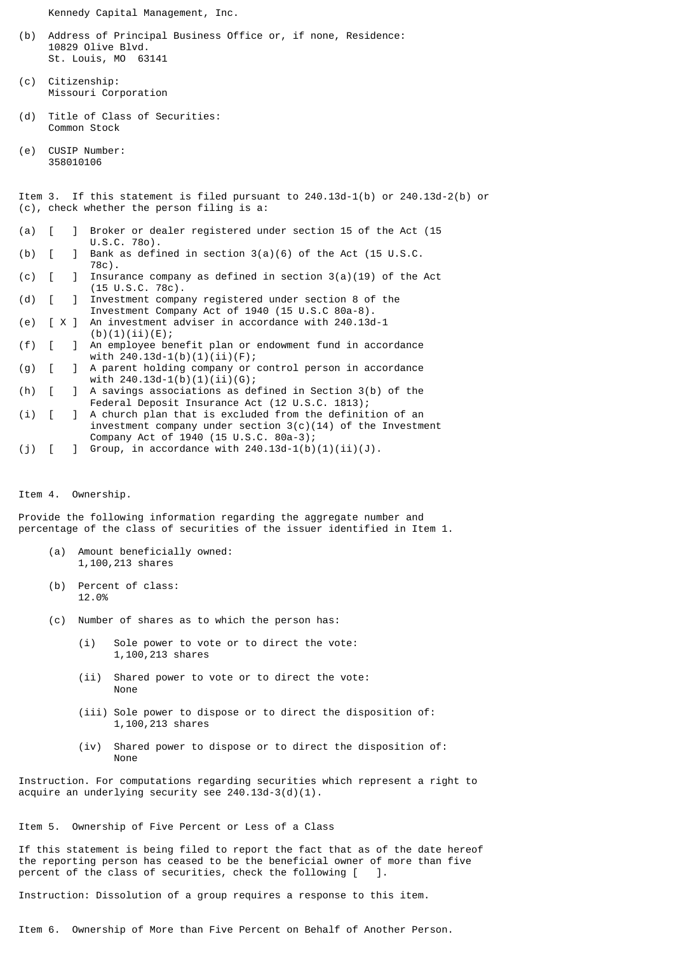Kennedy Capital Management, Inc.

- (b) Address of Principal Business Office or, if none, Residence: 10829 Olive Blvd. St. Louis, MO 63141
- (c) Citizenship: Missouri Corporation
- (d) Title of Class of Securities: Common Stock
- (e) CUSIP Number: 358010106

Item 3. If this statement is filed pursuant to 240.13d-1(b) or 240.13d-2(b) or (c), check whether the person filing is a:

- (a) [ ] Broker or dealer registered under section 15 of the Act (15 U.S.C. 78o).
- (b)  $\begin{bmatrix} 1 & 1 \end{bmatrix}$  Bank as defined in section 3(a)(6) of the Act (15 U.S.C. 78c).
- (c) [ ] Insurance company as defined in section 3(a)(19) of the Act (15 U.S.C. 78c).
- (d) [ ] Investment company registered under section 8 of the Investment Company Act of 1940 (15 U.S.C 80a-8).
- (e) [ X ] An investment adviser in accordance with 240.13d-1  $(b)(1)(ii)(E);$
- (f) [ ] An employee benefit plan or endowment fund in accordance with 240.13d-1(b)(1)(ii)(F);
- (g) [ ] A parent holding company or control person in accordance with 240.13d-1(b)(1)(ii)(G);
- (h) [ ] A savings associations as defined in Section 3(b) of the Federal Deposit Insurance Act (12 U.S.C. 1813);
- (i) [ ] A church plan that is excluded from the definition of an investment company under section  $3(c)(14)$  of the Investment Company Act of 1940 (15 U.S.C. 80a-3);
- (j)  $[$  ] Group, in accordance with 240.13d-1(b)(1)(ii)(J).

Item 4. Ownership.

Provide the following information regarding the aggregate number and percentage of the class of securities of the issuer identified in Item 1.

- (a) Amount beneficially owned: 1,100,213 shares
- (b) Percent of class: 12.0%
- (c) Number of shares as to which the person has:
	- (i) Sole power to vote or to direct the vote: 1,100,213 shares
	- (ii) Shared power to vote or to direct the vote: None
	- (iii) Sole power to dispose or to direct the disposition of: 1,100,213 shares
	- (iv) Shared power to dispose or to direct the disposition of: None

Instruction. For computations regarding securities which represent a right to acquire an underlying security see 240.13d-3(d)(1).

Item 5. Ownership of Five Percent or Less of a Class

If this statement is being filed to report the fact that as of the date hereof the reporting person has ceased to be the beneficial owner of more than five percent of the class of securities, check the following [ ].

Instruction: Dissolution of a group requires a response to this item.

Item 6. Ownership of More than Five Percent on Behalf of Another Person.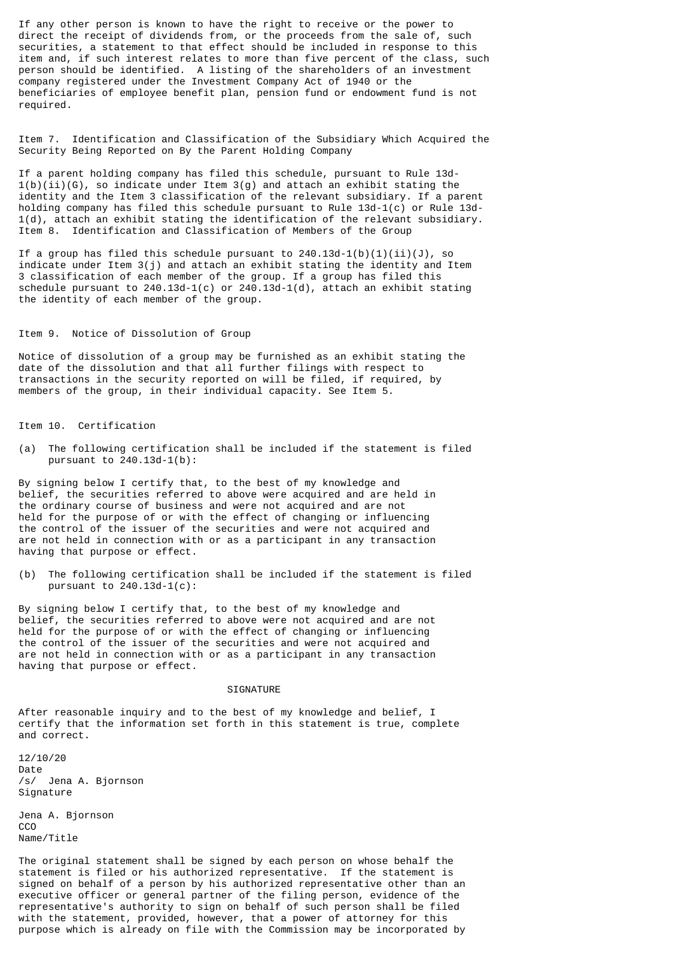If any other person is known to have the right to receive or the power to direct the receipt of dividends from, or the proceeds from the sale of, such securities, a statement to that effect should be included in response to this item and, if such interest relates to more than five percent of the class, such person should be identified. A listing of the shareholders of an investment company registered under the Investment Company Act of 1940 or the beneficiaries of employee benefit plan, pension fund or endowment fund is not required.

Item 7. Identification and Classification of the Subsidiary Which Acquired the Security Being Reported on By the Parent Holding Company

If a parent holding company has filed this schedule, pursuant to Rule 13d- $1(b)(ii)(G)$ , so indicate under Item  $3(g)$  and attach an exhibit stating the identity and the Item 3 classification of the relevant subsidiary. If a parent holding company has filed this schedule pursuant to Rule 13d-1(c) or Rule 13d-1(d), attach an exhibit stating the identification of the relevant subsidiary. Item 8. Identification and Classification of Members of the Group

If a group has filed this schedule pursuant to  $240.13d-1(b)(1)(ii)(J)$ , so indicate under Item 3(j) and attach an exhibit stating the identity and Item 3 classification of each member of the group. If a group has filed this schedule pursuant to 240.13d-1(c) or 240.13d-1(d), attach an exhibit stating the identity of each member of the group.

## Item 9. Notice of Dissolution of Group

Notice of dissolution of a group may be furnished as an exhibit stating the date of the dissolution and that all further filings with respect to transactions in the security reported on will be filed, if required, by members of the group, in their individual capacity. See Item 5.

Item 10. Certification

(a) The following certification shall be included if the statement is filed pursuant to 240.13d-1(b):

By signing below I certify that, to the best of my knowledge and belief, the securities referred to above were acquired and are held in the ordinary course of business and were not acquired and are not held for the purpose of or with the effect of changing or influencing the control of the issuer of the securities and were not acquired and are not held in connection with or as a participant in any transaction having that purpose or effect.

(b) The following certification shall be included if the statement is filed pursuant to 240.13d-1(c):

By signing below I certify that, to the best of my knowledge and belief, the securities referred to above were not acquired and are not held for the purpose of or with the effect of changing or influencing the control of the issuer of the securities and were not acquired and are not held in connection with or as a participant in any transaction having that purpose or effect.

### **SIGNATURE**

After reasonable inquiry and to the best of my knowledge and belief, I certify that the information set forth in this statement is true, complete and correct.

12/10/20 Date /s/ Jena A. Bjornson Signature

Jena A. Bjornson CCO Name/Title

The original statement shall be signed by each person on whose behalf the statement is filed or his authorized representative. If the statement is signed on behalf of a person by his authorized representative other than an executive officer or general partner of the filing person, evidence of the representative's authority to sign on behalf of such person shall be filed with the statement, provided, however, that a power of attorney for this purpose which is already on file with the Commission may be incorporated by